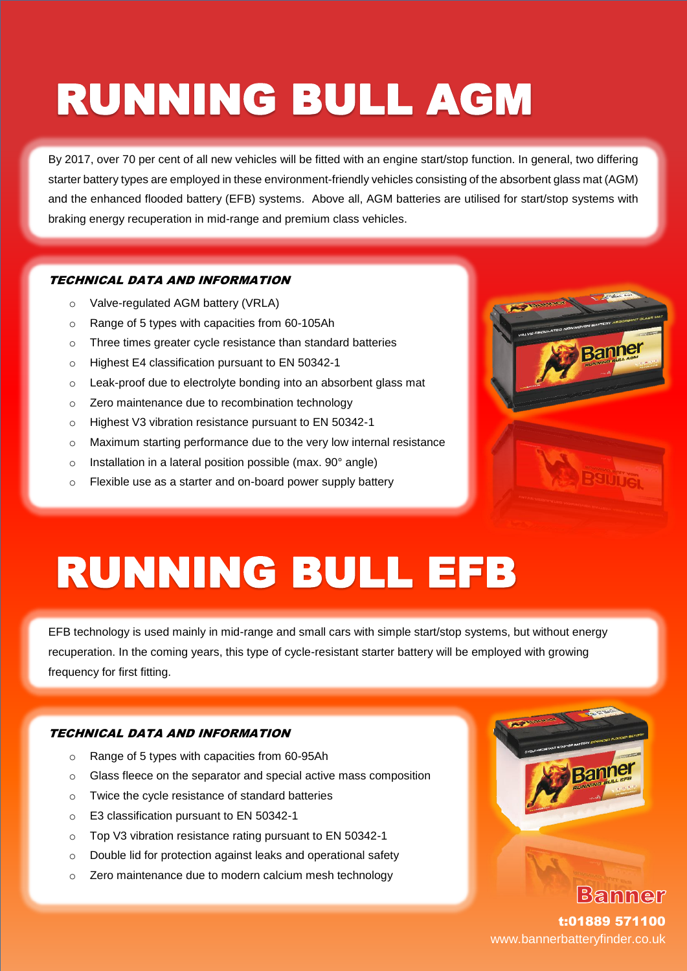## **RUNNING BULL AGM**

By 2017, over 70 per cent of all new vehicles will be fitted with an engine start/stop function. In general, two differing starter battery types are employed in these environment-friendly vehicles consisting of the absorbent glass mat (AGM) and the enhanced flooded battery (EFB) systems. Above all, AGM batteries are utilised for start/stop systems with braking energy recuperation in mid-range and premium class vehicles.

#### TECHNICAL DATA AND INFORMATION

- o Valve-regulated AGM battery (VRLA)
- o Range of 5 types with capacities from 60-105Ah
- o Three times greater cycle resistance than standard batteries
- o Highest E4 classification pursuant to EN 50342-1
- o Leak-proof due to electrolyte bonding into an absorbent glass mat
- **Start-Started Started Started Started Started Started Started Started Started Started Started Started Started Started Started Started Started Started Started Started Started Started Started Started Started Started Started**
- o Highest V3 vibration resistance pursuant to EN 50342-1
- o Maximum starting performance due to the very low internal resistance
- o Installation in a lateral position possible (max. 90° angle) **Consumption** No Up to Health and Consumption of the **Consumption**
- on-Flexible use as a starter and on-board power supply battery **best and a startery** battery



### **RUNNING BULL EFB**

EFB technology is used mainly in mid-range and small cars with simple start/stop systems, but without energy recuperation. In the coming years, this type of cycle-resistant starter battery will be employed with growing frequency for first fitting.

#### TECHNICAL DATA AND INFORMATION

- o Range of 5 types with capacities from 60-95Ah
- o Glass fleece on the separator and special active mass composition
- o Twice the cycle resistance of standard batteries
- o E3 classification pursuant to EN 50342-1
- o Top V3 vibration resistance rating pursuant to EN 50342-1
- o Double lid for protection against leaks and operational safety
- o Zero maintenance due to modern calcium mesh technology



t:01889 571100 www.bannerbatteryfinder.co.uk

**Bammer**